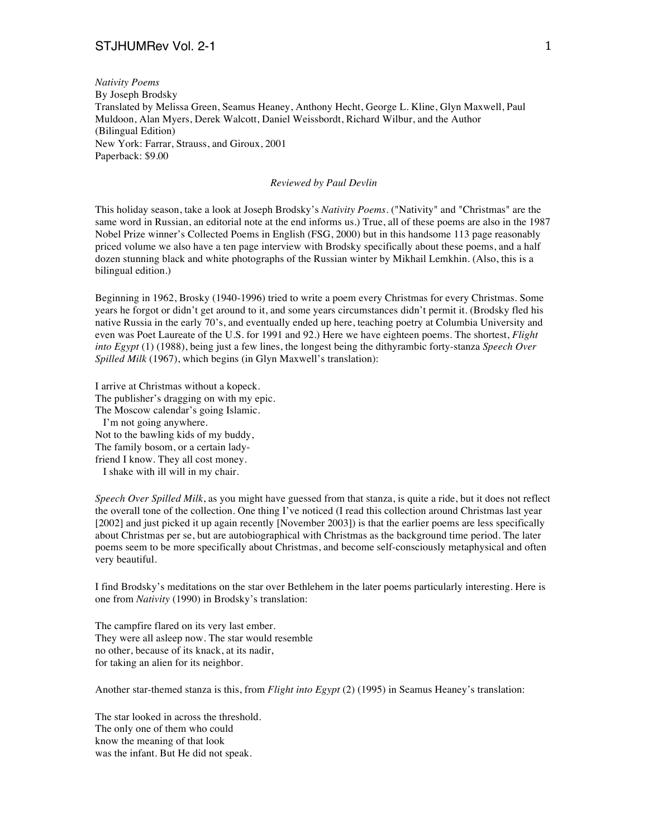## STJHUMRev Vol. 2-1 1

*Nativity Poems* By Joseph Brodsky Translated by Melissa Green, Seamus Heaney, Anthony Hecht, George L. Kline, Glyn Maxwell, Paul Muldoon, Alan Myers, Derek Walcott, Daniel Weissbordt, Richard Wilbur, and the Author (Bilingual Edition) New York: Farrar, Strauss, and Giroux, 2001 Paperback: \$9.00

## *Reviewed by Paul Devlin*

This holiday season, take a look at Joseph Brodsky's *Nativity Poems*. ("Nativity" and "Christmas" are the same word in Russian, an editorial note at the end informs us.) True, all of these poems are also in the 1987 Nobel Prize winner's Collected Poems in English (FSG, 2000) but in this handsome 113 page reasonably priced volume we also have a ten page interview with Brodsky specifically about these poems, and a half dozen stunning black and white photographs of the Russian winter by Mikhail Lemkhin. (Also, this is a bilingual edition.)

Beginning in 1962, Brosky (1940-1996) tried to write a poem every Christmas for every Christmas. Some years he forgot or didn't get around to it, and some years circumstances didn't permit it. (Brodsky fled his native Russia in the early 70's, and eventually ended up here, teaching poetry at Columbia University and even was Poet Laureate of the U.S. for 1991 and 92.) Here we have eighteen poems. The shortest, *Flight into Egypt* (1) (1988), being just a few lines, the longest being the dithyrambic forty-stanza *Speech Over Spilled Milk* (1967), which begins (in Glyn Maxwell's translation):

I arrive at Christmas without a kopeck. The publisher's dragging on with my epic. The Moscow calendar's going Islamic. I'm not going anywhere. Not to the bawling kids of my buddy, The family bosom, or a certain ladyfriend I know. They all cost money. I shake with ill will in my chair.

*Speech Over Spilled Milk*, as you might have guessed from that stanza, is quite a ride, but it does not reflect the overall tone of the collection. One thing I've noticed (I read this collection around Christmas last year [2002] and just picked it up again recently [November 2003]) is that the earlier poems are less specifically about Christmas per se, but are autobiographical with Christmas as the background time period. The later poems seem to be more specifically about Christmas, and become self-consciously metaphysical and often very beautiful.

I find Brodsky's meditations on the star over Bethlehem in the later poems particularly interesting. Here is one from *Nativity* (1990) in Brodsky's translation:

The campfire flared on its very last ember. They were all asleep now. The star would resemble no other, because of its knack, at its nadir, for taking an alien for its neighbor.

Another star-themed stanza is this, from *Flight into Egypt* (2) (1995) in Seamus Heaney's translation:

The star looked in across the threshold. The only one of them who could know the meaning of that look was the infant. But He did not speak.